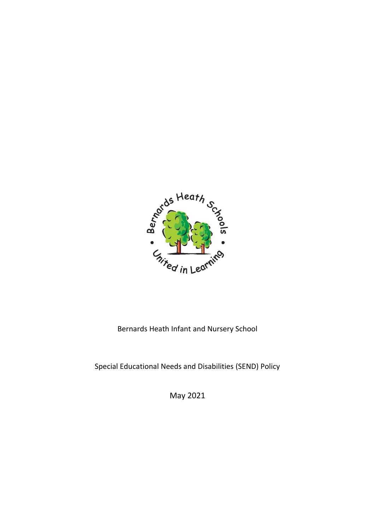

Bernards Heath Infant and Nursery School

Special Educational Needs and Disabilities (SEND) Policy

May 2021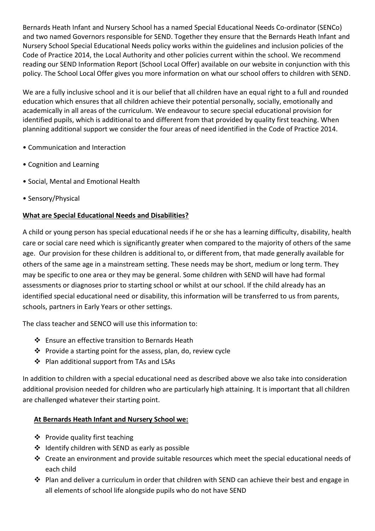Bernards Heath Infant and Nursery School has a named Special Educational Needs Co-ordinator (SENCo) and two named Governors responsible for SEND. Together they ensure that the Bernards Heath Infant and Nursery School Special Educational Needs policy works within the guidelines and inclusion policies of the Code of Practice 2014, the Local Authority and other policies current within the school. We recommend reading our SEND Information Report (School Local Offer) available on our website in conjunction with this policy. The School Local Offer gives you more information on what our school offers to children with SEND.

We are a fully inclusive school and it is our belief that all children have an equal right to a full and rounded education which ensures that all children achieve their potential personally, socially, emotionally and academically in all areas of the curriculum. We endeavour to secure special educational provision for identified pupils, which is additional to and different from that provided by quality first teaching. When planning additional support we consider the four areas of need identified in the Code of Practice 2014.

- Communication and Interaction
- Cognition and Learning
- Social, Mental and Emotional Health
- Sensory/Physical

## **What are Special Educational Needs and Disabilities?**

A child or young person has special educational needs if he or she has a learning difficulty, disability, health care or social care need which is significantly greater when compared to the majority of others of the same age. Our provision for these children is additional to, or different from, that made generally available for others of the same age in a mainstream setting. These needs may be short, medium or long term. They may be specific to one area or they may be general. Some children with SEND will have had formal assessments or diagnoses prior to starting school or whilst at our school. If the child already has an identified special educational need or disability, this information will be transferred to us from parents, schools, partners in Early Years or other settings.

The class teacher and SENCO will use this information to:

- Ensure an effective transition to Bernards Heath
- $\cdot \cdot$  Provide a starting point for the assess, plan, do, review cycle
- ❖ Plan additional support from TAs and LSAs

In addition to children with a special educational need as described above we also take into consideration additional provision needed for children who are particularly high attaining. It is important that all children are challenged whatever their starting point.

## **At Bernards Heath Infant and Nursery School we:**

- ❖ Provide quality first teaching
- ❖ Identify children with SEND as early as possible
- Create an environment and provide suitable resources which meet the special educational needs of each child
- Plan and deliver a curriculum in order that children with SEND can achieve their best and engage in all elements of school life alongside pupils who do not have SEND